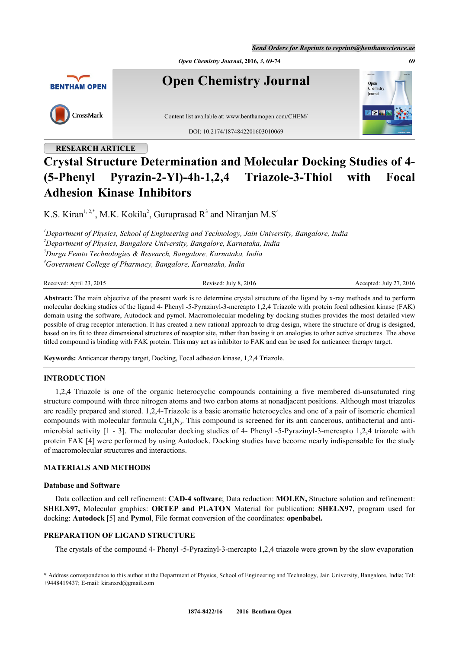*Send Orders for Reprints to reprints@benthamscience.ae*



# **Crystal Structure Determination and Molecular Docking Studies of 4- (5-Phenyl Pyrazin-2-Yl)-4h-1,2,4 Triazole-3-Thiol with Focal Adhesion Kinase Inhibitors**

K.S. Kiran<sup>[1,](#page-0-0) [2](#page-0-1),[\\*](#page-0-2)</sup>, M.K. Kokila<sup>[2](#page-0-1)</sup>, Guruprasad R<sup>[3](#page-0-3)</sup> and Niranjan M.S<sup>[4](#page-0-4)</sup>

<span id="page-0-3"></span><span id="page-0-1"></span><span id="page-0-0"></span>*Department of Physics, School of Engineering and Technology, Jain University, Bangalore, India Department of Physics, Bangalore University, Bangalore, Karnataka, India Durga Femto Technologies & Research, Bangalore, Karnataka, India Government College of Pharmacy, Bangalore, Karnataka, India*

<span id="page-0-4"></span>Received: April 23, 2015 Revised: July 8, 2016 Accepted: July 27, 2016

**Abstract:** The main objective of the present work is to determine crystal structure of the ligand by x-ray methods and to perform molecular docking studies of the ligand 4- Phenyl -5-Pyrazinyl-3-mercapto 1,2,4 Triazole with protein focal adhesion kinase (FAK) domain using the software, Autodock and pymol. Macromolecular modeling by docking studies provides the most detailed view possible of drug receptor interaction. It has created a new rational approach to drug design, where the structure of drug is designed, based on its fit to three dimensional structures of receptor site, rather than basing it on analogies to other active structures. The above titled compound is binding with FAK protein. This may act as inhibitor to FAK and can be used for anticancer therapy target.

**Keywords:** Anticancer therapy target, Docking, Focal adhesion kinase, 1,2,4 Triazole.

# **INTRODUCTION**

1,2,4 Triazole is one of the organic heterocyclic compounds containing a five membered di-unsaturated ring structure compound with three nitrogen atoms and two carbon atoms at nonadjacent positions. Although most triazoles are readily prepared and stored. 1,2,4-Triazole is a basic aromatic heterocycles and one of a pair of isomeric chemical compounds with molecular formula  $C_2H_3N_3$ . This compound is screened for its anti cancerous, antibacterial and antimicrobial activity [\[1](#page-4-0) - [3](#page-4-1)]. The molecular docking studies of 4- Phenyl -5-Pyrazinyl-3-mercapto 1,2,4 triazole with protein FAK [[4\]](#page-4-2) were performed by using Autodock. Docking studies have become nearly indispensable for the study of macromolecular structures and interactions.

# **MATERIALS AND METHODS**

# **Database and Software**

Data collection and cell refinement: **CAD-4 software**; Data reduction: **MOLEN,** Structure solution and refinement: **SHELX97,** Molecular graphics: **ORTEP and PLATON** Material for publication: **SHELX97**, program used for docking: **Autodock** [[5\]](#page-4-3) and **Pymol**, File format conversion of the coordinates: **openbabel.**

# **PREPARATION OF LIGAND STRUCTURE**

The crystals of the compound 4- Phenyl -5-Pyrazinyl-3-mercapto 1,2,4 triazole were grown by the slow evaporation

<span id="page-0-2"></span><sup>\*</sup> Address correspondence to this author at the Department of Physics, School of Engineering and Technology, Jain University, Bangalore, India; Tel: +9448419437; E-mail: [kiranxrd@gmail.com](mailto:kiranxrd@gmail.com)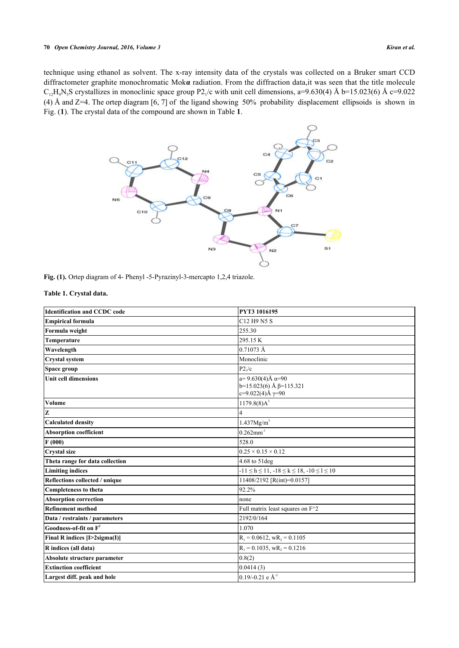<span id="page-1-0"></span>technique using ethanol as solvent. The x-ray intensity data of the crystals was collected on a Bruker smart CCD diffractometer graphite monochromatic Mok**α** radiation. From the diffraction data,it was seen that the title molecule  $C_{12}H_9N_5S$  crystallizes in monoclinic space group P2<sub>1</sub>/c with unit cell dimensions, a=9.630(4) Å b=15.023(6) Å c=9.022 (4) Å and Z=4. The ortep diagram [[6,](#page-4-4) [7\]](#page-4-5) of the ligand showing 50% probability displacement ellipsoids is shown in Fig. (**[1](#page-1-0)**). The crystal data of the compound are shown in Table **[1](#page-1-1)**.



**Fig. (1).** Ortep diagram of 4- Phenyl -5-Pyrazinyl-3-mercapto 1,2,4 triazole.

<span id="page-1-1"></span>**Table 1. Crystal data.**

| <b>Identification and CCDC code</b> | PYT3 1016195                                                                                |
|-------------------------------------|---------------------------------------------------------------------------------------------|
| Empirical formula                   | C12 H9 N5 S                                                                                 |
| Formula weight                      | 255.30                                                                                      |
| Temperature                         | 295.15K                                                                                     |
| Wavelength                          | 0.71073 Å                                                                                   |
| Crystal system                      | Monoclinic                                                                                  |
| Space group                         | P2 <sub>1</sub> /c                                                                          |
| <b>Unit cell dimensions</b>         | $a=9.630(4)$ Å $\alpha=90$<br>$b=15.023(6)$ Å $\beta=115.321$<br>$c=9.022(4)$ Å $\gamma=90$ |
| Volume                              | 1179.8(8)A <sup>3</sup>                                                                     |
| z                                   |                                                                                             |
| <b>Calculated density</b>           | 1.437Mg/m <sup>3</sup>                                                                      |
| <b>Absorption coefficient</b>       | $0.262$ mm <sup>-1</sup>                                                                    |
| F(000)                              | 528.0                                                                                       |
| Crystal size                        | $0.25 \times 0.15 \times 0.12$                                                              |
| Theta range for data collection     | 4.68 to 51 deg                                                                              |
| <b>Limiting indices</b>             | $-11 \le h \le 11, -18 \le k \le 18, -10 \le l \le 10$                                      |
| Reflections collected / unique      | 11408/2192 [R(int)=0.0157]                                                                  |
| Completeness to theta               | 92.2%                                                                                       |
| <b>Absorption correction</b>        | none                                                                                        |
| <b>Refinement method</b>            | Full matrix least squares on F^2                                                            |
| Data / restraints / parameters      | 2192/0/164                                                                                  |
| Goodness-of-fit on $F^2$            | 1.070                                                                                       |
| Final R indices [I>2sigma(I)]       | $R_1 = 0.0612$ , $wR_2 = 0.1105$                                                            |
| R indices (all data)                | $R_1 = 0.1035$ , w $R_2 = 0.1216$                                                           |
| Absolute structure parameter        | 0.8(2)                                                                                      |
| <b>Extinction coefficient</b>       | 0.0414(3)                                                                                   |
| Largest diff. peak and hole         | $0.19/-0.21$ e Å <sup>-3</sup>                                                              |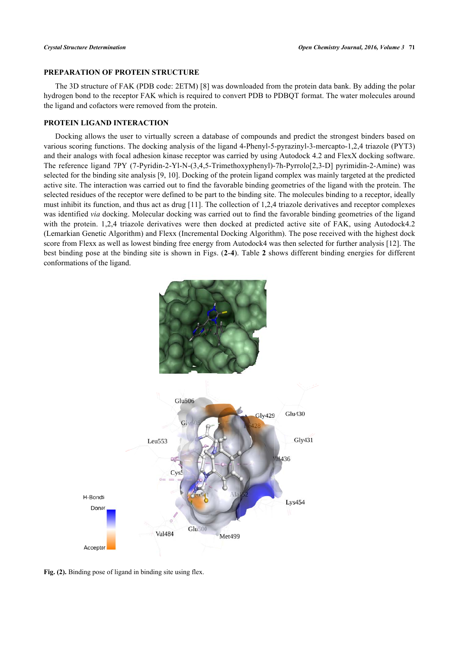#### **PREPARATION OF PROTEIN STRUCTURE**

The 3D structure of FAK (PDB code: 2ETM) [\[8](#page-4-6)] was downloaded from the protein data bank. By adding the polar hydrogen bond to the receptor FAK which is required to convert PDB to PDBQT format. The water molecules around the ligand and cofactors were removed from the protein.

## **PROTEIN LIGAND INTERACTION**

Docking allows the user to virtually screen a database of compounds and predict the strongest binders based on various scoring functions. The docking analysis of the ligand 4-Phenyl-5-pyrazinyl-3-mercapto-1,2,4 triazole (PYT3) and their analogs with focal adhesion kinase receptor was carried by using Autodock 4.2 and FlexX docking software. The reference ligand 7PY (7-Pyridin-2-Yl-N-(3,4,5-Trimethoxyphenyl)-7h-Pyrrolo[2,3-D] pyrimidin-2-Amine) was selected for the binding site analysis [[9,](#page-4-7) [10\]](#page-4-8). Docking of the protein ligand complex was mainly targeted at the predicted active site. The interaction was carried out to find the favorable binding geometries of the ligand with the protein. The selected residues of the receptor were defined to be part to the binding site. The molecules binding to a receptor, ideally must inhibit its function, and thus act as drug [\[11](#page-4-9)]. The collection of 1,2,4 triazole derivatives and receptor complexes was identified *via* docking. Molecular docking was carried out to find the favorable binding geometries of the ligand with the protein. 1,2,4 triazole derivatives were then docked at predicted active site of FAK, using Autodock4.2 (Lemarkian Genetic Algorithm) and Flexx (Incremental Docking Algorithm). The pose received with the highest dock score from Flexx as well as lowest binding free energy from Autodock4 was then selected for further analysis [[12\]](#page-4-10). The best binding pose at the binding site is shown in Figs. (**[2](#page-2-0)**-**[4](#page-3-0)**). Table **[2](#page-3-1)** shows different binding energies for different conformations of the ligand.

<span id="page-2-0"></span>

**Fig. (2).** Binding pose of ligand in binding site using flex.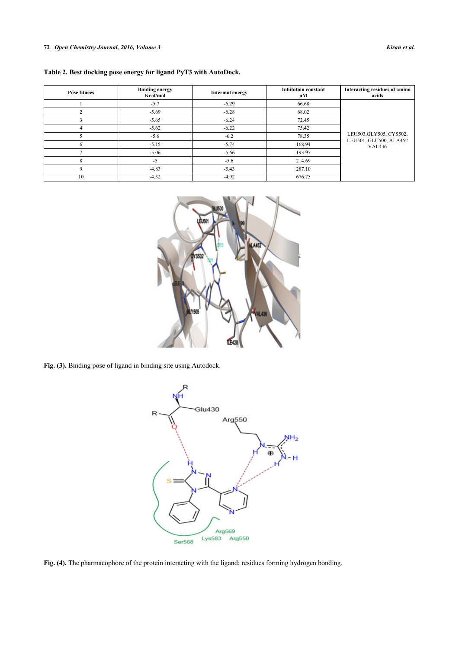<span id="page-3-1"></span>

|  | Table 2. Best docking pose energy for ligand PyT3 with AutoDock. |  |  |  |
|--|------------------------------------------------------------------|--|--|--|
|  |                                                                  |  |  |  |

| <b>Pose fitnees</b> | <b>Binding energy</b><br>Kcal/mol | <b>Intermol energy</b> | <b>Inhibition constant</b><br>μM | Interacting residues of amino<br>acids                             |  |  |
|---------------------|-----------------------------------|------------------------|----------------------------------|--------------------------------------------------------------------|--|--|
|                     | $-5.7$                            | $-6.29$                | 66.68                            |                                                                    |  |  |
|                     | $-5.69$                           | $-6.28$                | 68.02                            | LEU503, GLY505, CYS502,<br>LEU501, GLU500, ALA452<br><b>VAL436</b> |  |  |
|                     | $-5.65$                           | $-6.24$                | 72.45                            |                                                                    |  |  |
| 4                   | $-5.62$                           | $-6.22$                | 75.42                            |                                                                    |  |  |
|                     | $-5.6$                            | $-6.2$                 | 78.35                            |                                                                    |  |  |
| n                   | $-5.15$                           | $-5.74$                | 168.94                           |                                                                    |  |  |
|                     | $-5.06$                           | $-5.66$                | 193.97                           |                                                                    |  |  |
| 8                   | $-5$                              | $-5.6$                 | 214.69                           |                                                                    |  |  |
| Q                   | $-4.83$                           | $-5.43$                | 287.10                           |                                                                    |  |  |
| 10                  | $-4.32$                           | $-4.92$                | 676.75                           |                                                                    |  |  |



<span id="page-3-0"></span>**Fig. (3).** Binding pose of ligand in binding site using Autodock.



**Fig. (4).** The pharmacophore of the protein interacting with the ligand; residues forming hydrogen bonding.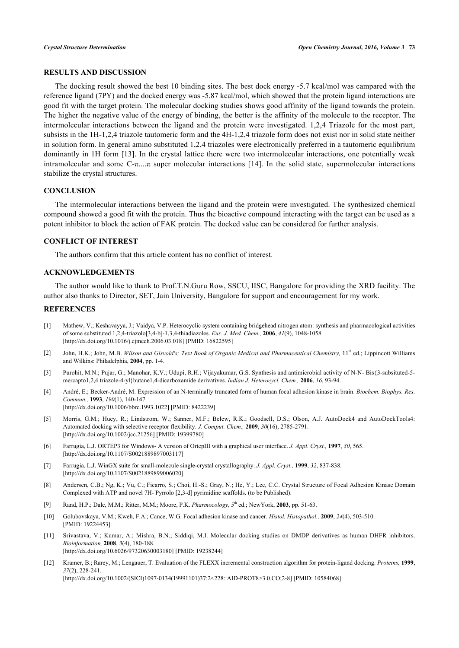# **RESULTS AND DISCUSSION**

The docking result showed the best 10 binding sites. The best dock energy -5.7 kcal/mol was campared with the reference ligand (7PY) and the docked energy was -5.87 kcal/mol, which showed that the protein ligand interactions are good fit with the target protein. The molecular docking studies shows good affinity of the ligand towards the protein. The higher the negative value of the energy of binding, the better is the affinity of the molecule to the receptor. The intermolecular interactions between the ligand and the protein were investigated. 1,2,4 Triazole for the most part, subsists in the 1H-1,2,4 triazole tautomeric form and the 4H-1,2,4 triazole form does not exist nor in solid state neither in solution form. In general amino substituted 1,2,4 triazoles were electronically preferred in a tautomeric equilibrium dominantly in 1H form [[13](#page-5-0)]. In the crystal lattice there were two intermolecular interactions, one potentially weak intramolecular and some  $C$ -π....π super molecular interactions [\[14\]](#page-5-1). In the solid state, supermolecular interactions stabilize the crystal structures.

#### **CONCLUSION**

The intermolecular interactions between the ligand and the protein were investigated. The synthesized chemical compound showed a good fit with the protein. Thus the bioactive compound interacting with the target can be used as a potent inhibitor to block the action of FAK protein. The docked value can be considered for further analysis.

#### **CONFLICT OF INTEREST**

The authors confirm that this article content has no conflict of interest.

#### **ACKNOWLEDGEMENTS**

The author would like to thank to Prof.T.N.Guru Row, SSCU, IISC, Bangalore for providing the XRD facility. The author also thanks to Director, SET, Jain University, Bangalore for support and encouragement for my work.

### **REFERENCES**

- <span id="page-4-0"></span>[1] Mathew, V.; Keshavayya, J.; Vaidya, V.P. Heterocyclic system containing bridgehead nitrogen atom: synthesis and pharmacological activities of some substituted 1,2,4-triazolo[3,4-b]-1,3,4-thiadiazoles. *Eur. J. Med. Chem.,* **2006**, *41*(9), 1048-1058. [\[http://dx.doi.org/10.1016/j.ejmech.2006.03.018](http://dx.doi.org/10.1016/j.ejmech.2006.03.018)] [PMID: [16822595\]](http://www.ncbi.nlm.nih.gov/pubmed/16822595)
- [2] John, H.K.; John, M.B. *Wilson and Gisvold's; Text Book of Organic Medical and Pharmaceutical Chemistry*, 11<sup>th</sup> ed.; Lippincott Williams and Wilkins: Philadelphia, **2004**, pp. 1-4.
- <span id="page-4-1"></span>[3] Purohit, M.N.; Pujar, G.; Manohar, K.V.; Udupi, R.H.; Vijayakumar, G.S. Synthesis and antimicrobial activity of N-N- Bis{3-subsituted-5 mercapto1,2,4 triazole-4-yl}butane1,4-dicarboxamide derivatives. *Indian J. Heterocycl. Chem.,* **2006**, *16*, 93-94.
- <span id="page-4-2"></span>[4] André, E.; Becker-André, M. Expression of an N-terminally truncated form of human focal adhesion kinase in brain. *Biochem. Biophys. Res. Commun.,* **1993**, *190*(1), 140-147. [\[http://dx.doi.org/10.1006/bbrc.1993.1022](http://dx.doi.org/10.1006/bbrc.1993.1022)] [PMID: [8422239\]](http://www.ncbi.nlm.nih.gov/pubmed/8422239)
- <span id="page-4-3"></span>[5] Morris, G.M.; Huey, R.; Lindstrom, W.; Sanner, M.F.; Belew, R.K.; Goodsell, D.S.; Olson, A.J. AutoDock4 and AutoDockTools4: Automated docking with selective receptor flexibility. *J. Comput. Chem.,* **2009**, *30*(16), 2785-2791. [\[http://dx.doi.org/10.1002/jcc.21256](http://dx.doi.org/10.1002/jcc.21256)] [PMID: [19399780\]](http://www.ncbi.nlm.nih.gov/pubmed/19399780)
- <span id="page-4-4"></span>[6] Farrugia, L.J. ORTEP3 for Windows- A version of OrtepIII with a graphical user interface. *J. Appl. Cryst.,* **1997**, *30*, 565. [\[http://dx.doi.org/10.1107/S0021889897003117](http://dx.doi.org/10.1107/S0021889897003117)]
- <span id="page-4-5"></span>[7] Farrugia, L.J. WinGX suite for small-molecule single-crystal crystallography. *J. Appl. Cryst.,* **1999**, *32*, 837-838. [\[http://dx.doi.org/10.1107/S0021889899006020](http://dx.doi.org/10.1107/S0021889899006020)]
- <span id="page-4-6"></span>[8] Andersen, C.B.; Ng, K.; Vu, C.; Ficarro, S.; Choi, H.-S.; Gray, N.; He, Y.; Lee, C.C. Crystal Structure of Focal Adhesion Kinase Domain Complexed with ATP and novel 7H- Pyrrolo [2,3-d] pyrimidine scaffolds. (to be Published).
- <span id="page-4-7"></span>[9] Rand, H.P.; Dale, M.M.; Ritter, M.M.; Moore, P.K. *Pharmocology,* 5 th ed.; NewYork, **2003**, pp. 51-63.
- <span id="page-4-8"></span>[10] Golubovskaya, V.M.; Kweh, F.A.; Cance, W.G. Focal adhesion kinase and cancer. *Histol. Histopathol.,* **2009**, *24*(4), 503-510. [PMID: [19224453\]](http://www.ncbi.nlm.nih.gov/pubmed/19224453)
- <span id="page-4-9"></span>[11] Srivastava, V.; Kumar, A.; Mishra, B.N.; Siddiqi, M.I. Molecular docking studies on DMDP derivatives as human DHFR inhibitors. *Bioinformation,* **2008**, *3*(4), 180-188. [\[http://dx.doi.org/10.6026/97320630003180\]](http://dx.doi.org/10.6026/97320630003180) [PMID: [19238244](http://www.ncbi.nlm.nih.gov/pubmed/19238244)]
- <span id="page-4-10"></span>[12] Kramer, B.; Rarey, M.; Lengauer, T. Evaluation of the FLEXX incremental construction algorithm for protein-ligand docking. *Proteins,* **1999**, *37*(2), 228-241. [\[http://dx.doi.org/10.1002/\(SICI\)1097-0134\(19991101\)37:2<228::AID-PROT8>3.0.CO;2-8](http://dx.doi.org/10.1002/(SICI)1097-0134(19991101)37:2<228::AID-PROT8>3.0.CO;2-8)] [PMID: [10584068\]](http://www.ncbi.nlm.nih.gov/pubmed/10584068)